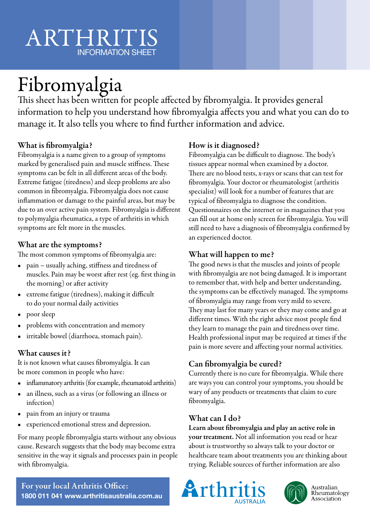# ARTHRITIS INFORMATION SHEET

# Fibromyalgia

This sheet has been written for people affected by fibromyalgia. It provides general information to help you understand how fibromyalgia affects you and what you can do to manage it. It also tells you where to find further information and advice.

# What is fibromyalgia?

Fibromyalgia is a name given to a group of symptoms marked by generalised pain and muscle stiffness. These symptoms can be felt in all different areas of the body. Extreme fatigue (tiredness) and sleep problems are also common in fibromyalgia. Fibromyalgia does not cause inflammation or damage to the painful areas, but may be due to an over active pain system. Fibromyalgia is different to polymyalgia rheumatica, a type of arthritis in which symptoms are felt more in the muscles.

### What are the symptoms?

The most common symptoms of fibromyalgia are:

- pain usually aching, stiffness and tiredness of muscles. Pain may be worst after rest (eg. first thing in the morning) or after activity
- extreme fatigue (tiredness), making it difficult to do your normal daily activities
- poor sleep
- problems with concentration and memory
- irritable bowel (diarrhoea, stomach pain).

## What causes it?

It is not known what causes fibromyalgia. It can be more common in people who have:

- inflammatory arthritis (for example, rheumatoid arthritis)
- an illness, such as a virus (or following an illness or infection)
- pain from an injury or trauma
- experienced emotional stress and depression.

For many people fibromyalgia starts without any obvious cause. Research suggests that the body may become extra sensitive in the way it signals and processes pain in people with fibromyalgia.

## How is it diagnosed?

Fibromyalgia can be difficult to diagnose. The body's tissues appear normal when examined by a doctor. There are no blood tests, x-rays or scans that can test for fibromyalgia. Your doctor or rheumatologist (arthritis specialist) will look for a number of features that are typical of fibromyalgia to diagnose the condition. Questionnaires on the internet or in magazines that you can fill out at home only screen for fibromyalgia. You will still need to have a diagnosis of fibromyalgia confirmed by an experienced doctor.

### What will happen to me?

The good news is that the muscles and joints of people with fibromyalgia are not being damaged. It is important to remember that, with help and better understanding, the symptoms can be effectively managed. The symptoms of fibromyalgia may range from very mild to severe. They may last for many years or they may come and go at different times. With the right advice most people find they learn to manage the pain and tiredness over time. Health professional input may be required at times if the pain is more severe and affecting your normal activities.

# Can fibromyalgia be cured?

Currently there is no cure for fibromyalgia. While there are ways you can control your symptoms, you should be wary of any products or treatments that claim to cure fibromyalgia.

#### What can I do?

Learn about fibromyalgia and play an active role in your treatment. Not all information you read or hear about is trustworthy so always talk to your doctor or healthcare team about treatments you are thinking about trying. Reliable sources of further information are also





Australian Rheumatology Association

For your local Arthritis Office: **1800 011 041 www.arthritisaustralia.com.au**